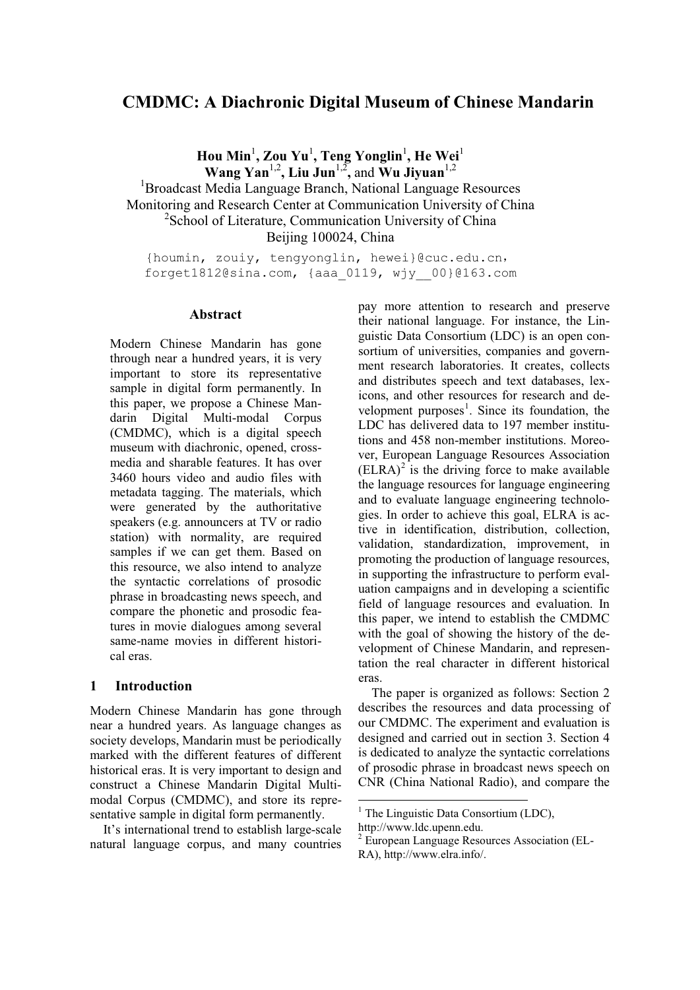# **CMDMC: A Diachronic Digital Museum of Chinese Mandarin**

 $\mathbf{H}$ ou Min<sup>1</sup>, Zou Yu<sup>1</sup>, Teng Yonglin<sup>1</sup>, He Wei<sup>1</sup> **Wang Yan** 1,2**, Liu Jun**1,2**,** and **Wu Jiyuan**1,2 <sup>1</sup>Broadcast Media Language Branch, National Language Resources Monitoring and Research Center at Communication University of China <sup>2</sup>School of Literature, Communication University of China Beijing 100024, China

{houmin, zouiy, tengyonglin, hewei}@cuc.edu.cn, forget1812@sina.com, {aaa\_0119, wjy\_\_00}@163.com

## **Abstract**

Modern Chinese Mandarin has gone through near a hundred years, it is very important to store its representative sample in digital form permanently. In this paper, we propose a Chinese Mandarin Digital Multi-modal Corpus (CMDMC), which is a digital speech museum with diachronic, opened, crossmedia and sharable features. It has over 3460 hours video and audio files with metadata tagging. The materials, which were generated by the authoritative speakers (e.g. announcers at TV or radio station) with normality, are required samples if we can get them. Based on this resource, we also intend to analyze the syntactic correlations of prosodic phrase in broadcasting news speech, and compare the phonetic and prosodic features in movie dialogues among several same-name movies in different historical eras.

## **1 Introduction**

Modern Chinese Mandarin has gone through near a hundred years. As language changes as society develops, Mandarin must be periodically marked with the different features of different historical eras. It is very important to design and construct a Chinese Mandarin Digital Multimodal Corpus (CMDMC), and store its representative sample in digital form permanently.

It's international trend to establish large-scale natural language corpus, and many countries pay more attention to research and preserve their national language. For instance, the Linguistic Data Consortium (LDC) is an open consortium of universities, companies and government research laboratories. It creates, collects and distributes speech and text databases, lexicons, and other resources for research and development purposes<sup>1</sup>. Since its foundation, the LDC has delivered data to 197 member institutions and 458 non-member institutions. Moreover, European Language Resources Association  $(ELRA)^2$  is the driving force to make available the language resources for language engineering and to evaluate language engineering technologies. In order to achieve this goal, ELRA is active in identification, distribution, collection, validation, standardization, improvement, in promoting the production of language resources, in supporting the infrastructure to perform evaluation campaigns and in developing a scientific field of language resources and evaluation. In this paper, we intend to establish the CMDMC with the goal of showing the history of the development of Chinese Mandarin, and representation the real character in different historical eras.

The paper is organized as follows: Section 2 describes the resources and data processing of our CMDMC. The experiment and evaluation is designed and carried out in section 3. Section 4 is dedicated to analyze the syntactic correlations of prosodic phrase in broadcast news speech on CNR (China National Radio), and compare the

 $<sup>1</sup>$  The Linguistic Data Consortium (LDC),</sup>

http://www.ldc.upenn.edu.

<sup>2</sup> European Language Resources Association (EL-RA), http://www.elra.info/.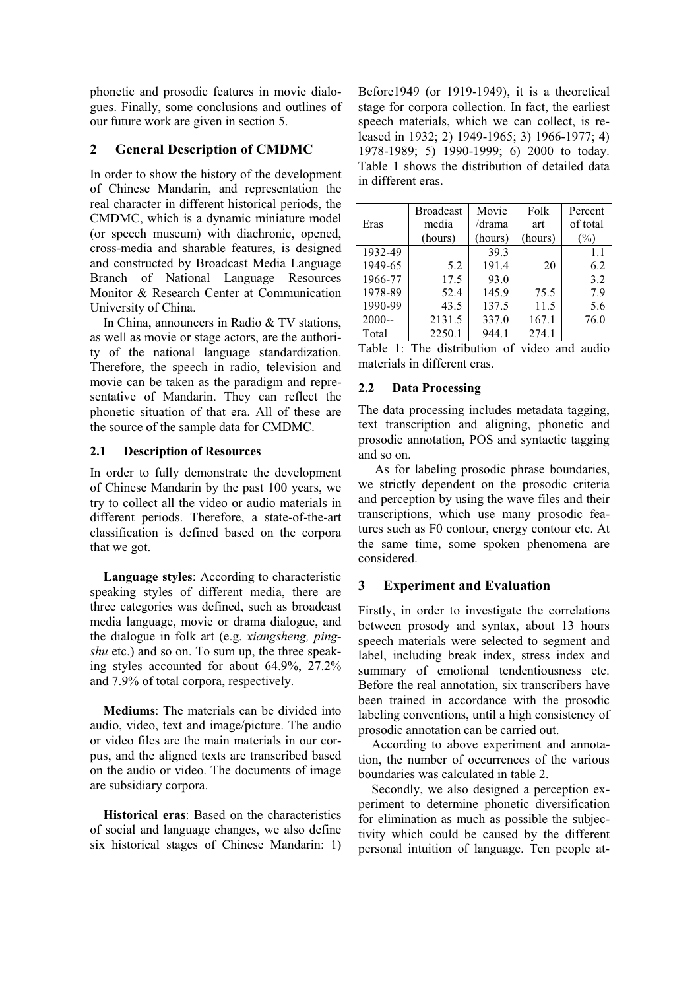phonetic and prosodic features in movie dialogues. Finally, some conclusions and outlines of our future work are given in section 5.

## **2 General Description of CMDMC**

In order to show the history of the development of Chinese Mandarin, and representation the real character in different historical periods, the CMDMC, which is a dynamic miniature model (or speech museum) with diachronic, opened, cross-media and sharable features, is designed and constructed by Broadcast Media Language Branch of National Language Resources Monitor & Research Center at Communication University of China.

In China, announcers in Radio & TV stations, as well as movie or stage actors, are the authority of the national language standardization. Therefore, the speech in radio, television and movie can be taken as the paradigm and representative of Mandarin. They can reflect the phonetic situation of that era. All of these are the source of the sample data for CMDMC.

## **2.1 Description of Resources**

In order to fully demonstrate the development of Chinese Mandarin by the past 100 years, we try to collect all the video or audio materials in different periods. Therefore, a state-of-the-art classification is defined based on the corpora that we got.

**Language styles**: According to characteristic speaking styles of different media, there are three categories was defined, such as broadcast media language, movie or drama dialogue, and the dialogue in folk art (e.g. *xiangsheng, pingshu* etc.) and so on. To sum up, the three speaking styles accounted for about 64.9%, 27.2% and 7.9% of total corpora, respectively.

**Mediums**: The materials can be divided into audio, video, text and image/picture. The audio or video files are the main materials in our corpus, and the aligned texts are transcribed based on the audio or video. The documents of image are subsidiary corpora.

**Historical eras**: Based on the characteristics of social and language changes, we also define six historical stages of Chinese Mandarin: 1)

Before1949 (or 1919-1949), it is a theoretical stage for corpora collection. In fact, the earliest speech materials, which we can collect, is released in 1932; 2) 1949-1965; 3) 1966-1977; 4) 1978-1989; 5) 1990-1999; 6) 2000 to today. Table 1 shows the distribution of detailed data in different eras.

|          | <b>Broadcast</b> | Movie   | Folk    | Percent  |
|----------|------------------|---------|---------|----------|
| Eras     | media            | /drama  | art     | of total |
|          | (hours)          | (hours) | (hours) | $(\%)$   |
| 1932-49  |                  | 39.3    |         | 1.1      |
| 1949-65  | 5.2              | 191.4   | 20      | 6.2      |
| 1966-77  | 17.5             | 93.0    |         | 3.2      |
| 1978-89  | 52.4             | 145.9   | 75.5    | 7.9      |
| 1990-99  | 43.5             | 137.5   | 11.5    | 5.6      |
| $2000 -$ | 2131.5           | 337.0   | 167.1   | 76.0     |
| Total    | 2250.1           | 944.1   | 274.1   |          |

Table 1: The distribution of video and audio materials in different eras.

## **2.2 Data Processing**

The data processing includes metadata tagging, text transcription and aligning, phonetic and prosodic annotation, POS and syntactic tagging and so on.

As for labeling prosodic phrase boundaries, we strictly dependent on the prosodic criteria and perception by using the wave files and their transcriptions, which use many prosodic features such as F0 contour, energy contour etc. At the same time, some spoken phenomena are considered.

## **3 Experiment and Evaluation**

Firstly, in order to investigate the correlations between prosody and syntax, about 13 hours speech materials were selected to segment and label, including break index, stress index and summary of emotional tendentiousness etc. Before the real annotation, six transcribers have been trained in accordance with the prosodic labeling conventions, until a high consistency of prosodic annotation can be carried out.

According to above experiment and annotation, the number of occurrences of the various boundaries was calculated in table 2.

Secondly, we also designed a perception experiment to determine phonetic diversification for elimination as much as possible the subjectivity which could be caused by the different personal intuition of language. Ten people at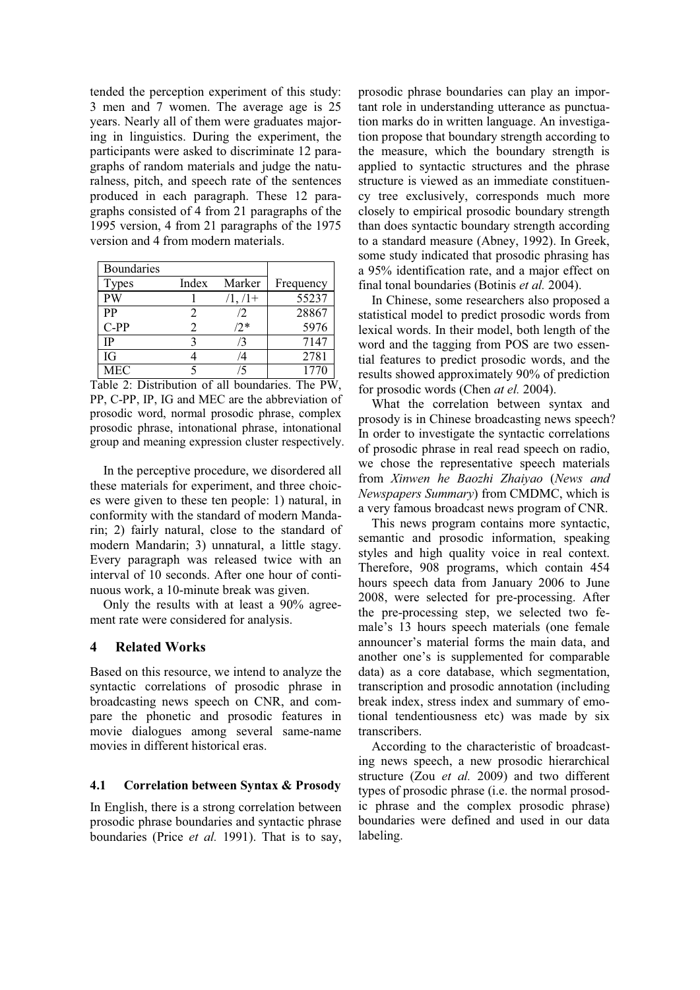tended the perception experiment of this study: 3 men and 7 women. The average age is 25 years. Nearly all of them were graduates majoring in linguistics. During the experiment, the participants were asked to discriminate 12 paragraphs of random materials and judge the naturalness, pitch, and speech rate of the sentences produced in each paragraph. These 12 paragraphs consisted of 4 from 21 paragraphs of the 1995 version, 4 from 21 paragraphs of the 1975 version and 4 from modern materials.

| <b>Boundaries</b> |                |           |           |
|-------------------|----------------|-----------|-----------|
| <b>Types</b>      | Index          | Marker    | Frequency |
| PW                |                | $/1, /1+$ | 55237     |
| PP                | 2              | /2        | 28867     |
| $C-PP$            | $\mathfrak{D}$ | $/2*$     | 5976      |
| <b>IP</b>         | 2              |           | 7147      |
| <b>IG</b>         |                |           | 2781      |
| <b>MEC</b>        |                | 15        | 1770      |

Table 2: Distribution of all boundaries. The PW, PP, C-PP, IP, IG and MEC are the abbreviation of prosodic word, normal prosodic phrase, complex prosodic phrase, intonational phrase, intonational group and meaning expression cluster respectively.

In the perceptive procedure, we disordered all these materials for experiment, and three choices were given to these ten people: 1) natural, in conformity with the standard of modern Mandarin; 2) fairly natural, close to the standard of modern Mandarin; 3) unnatural, a little stagy. Every paragraph was released twice with an interval of 10 seconds. After one hour of continuous work, a 10-minute break was given.

Only the results with at least a 90% agreement rate were considered for analysis.

## **4 Related Works**

Based on this resource, we intend to analyze the syntactic correlations of prosodic phrase in broadcasting news speech on CNR, and compare the phonetic and prosodic features in movie dialogues among several same-name movies in different historical eras.

#### **4.1 Correlation between Syntax & Prosody**

In English, there is a strong correlation between prosodic phrase boundaries and syntactic phrase boundaries (Price *et al.* 1991). That is to say, prosodic phrase boundaries can play an important role in understanding utterance as punctuation marks do in written language. An investigation propose that boundary strength according to the measure, which the boundary strength is applied to syntactic structures and the phrase structure is viewed as an immediate constituency tree exclusively, corresponds much more closely to empirical prosodic boundary strength than does syntactic boundary strength according to a standard measure (Abney, 1992). In Greek, some study indicated that prosodic phrasing has a 95% identification rate, and a major effect on final tonal boundaries (Botinis *et al.* 2004).

In Chinese, some researchers also proposed a statistical model to predict prosodic words from lexical words. In their model, both length of the word and the tagging from POS are two essential features to predict prosodic words, and the results showed approximately 90% of prediction for prosodic words (Chen *at el.* 2004).

What the correlation between syntax and prosody is in Chinese broadcasting news speech? In order to investigate the syntactic correlations of prosodic phrase in real read speech on radio, we chose the representative speech materials from *Xinwen he Baozhi Zhaiyao* (*News and Newspapers Summary*) from CMDMC, which is a very famous broadcast news program of CNR.

This news program contains more syntactic, semantic and prosodic information, speaking styles and high quality voice in real context. Therefore, 908 programs, which contain 454 hours speech data from January 2006 to June 2008, were selected for pre-processing. After the pre-processing step, we selected two female's 13 hours speech materials (one female announcer's material forms the main data, and another one's is supplemented for comparable data) as a core database, which segmentation, transcription and prosodic annotation (including break index, stress index and summary of emotional tendentiousness etc) was made by six transcribers.

According to the characteristic of broadcasting news speech, a new prosodic hierarchical structure (Zou *et al.* 2009) and two different types of prosodic phrase (i.e. the normal prosodic phrase and the complex prosodic phrase) boundaries were defined and used in our data labeling.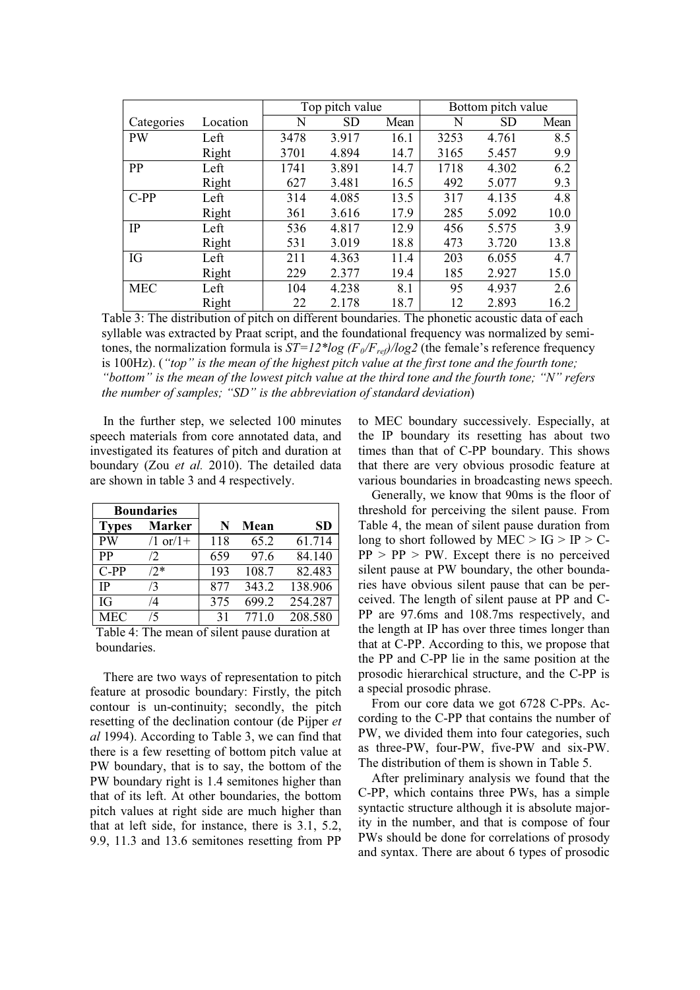|            |          | Top pitch value |       |      | Bottom pitch value |       |      |
|------------|----------|-----------------|-------|------|--------------------|-------|------|
| Categories | Location | N               | SD    | Mean | N                  | SD    | Mean |
| <b>PW</b>  | Left     | 3478            | 3.917 | 16.1 | 3253               | 4.761 | 8.5  |
|            | Right    | 3701            | 4.894 | 14.7 | 3165               | 5.457 | 9.9  |
| PP         | Left     | 1741            | 3.891 | 14.7 | 1718               | 4.302 | 6.2  |
|            | Right    | 627             | 3.481 | 16.5 | 492                | 5.077 | 9.3  |
| $C-PP$     | Left     | 314             | 4.085 | 13.5 | 317                | 4.135 | 4.8  |
|            | Right    | 361             | 3.616 | 17.9 | 285                | 5.092 | 10.0 |
| IP         | Left     | 536             | 4.817 | 12.9 | 456                | 5.575 | 3.9  |
|            | Right    | 531             | 3.019 | 18.8 | 473                | 3.720 | 13.8 |
| IG         | Left     | 211             | 4.363 | 11.4 | 203                | 6.055 | 4.7  |
|            | Right    | 229             | 2.377 | 19.4 | 185                | 2.927 | 15.0 |
| <b>MEC</b> | Left     | 104             | 4.238 | 8.1  | 95                 | 4.937 | 2.6  |
|            | Right    | 22              | 2.178 | 18.7 | 12                 | 2.893 | 16.2 |

Table 3: The distribution of pitch on different boundaries. The phonetic acoustic data of each syllable was extracted by Praat script, and the foundational frequency was normalized by semitones, the normalization formula is  $ST=12*log (F_0/F_{ref})/log2$  (the female's reference frequency is 100Hz). (*"top" is the mean of the highest pitch value at the first tone and the fourth tone; "bottom" is the mean of the lowest pitch value at the third tone and the fourth tone; "N" refers the number of samples; "SD" is the abbreviation of standard deviation*)

In the further step, we selected 100 minutes speech materials from core annotated data, and investigated its features of pitch and duration at boundary (Zou *et al.* 2010). The detailed data are shown in table 3 and 4 respectively.

| <b>Boundaries</b> |                |     |       |         |
|-------------------|----------------|-----|-------|---------|
| <b>Types</b>      | <b>Marker</b>  | N   | Mean  | SD      |
| <b>PW</b>         | $(1$ or $(1+)$ | 118 | 65.2  | 61.714  |
| <b>PP</b>         | $\sqrt{2}$     | 659 | 97.6  | 84.140  |
| $C-PP$            | $/2*$          | 193 | 108.7 | 82.483  |
| <b>IP</b>         | /3             | 877 | 343.2 | 138.906 |
| IG                | /4             | 375 | 699.2 | 254.287 |
| <b>MEC</b>        | /5             | 31  | 771.0 | 208.580 |

Table 4: The mean of silent pause duration at boundaries.

There are two ways of representation to pitch feature at prosodic boundary: Firstly, the pitch contour is un-continuity; secondly, the pitch resetting of the declination contour (de Pijper *et al* 1994). According to Table 3, we can find that there is a few resetting of bottom pitch value at PW boundary, that is to say, the bottom of the PW boundary right is 1.4 semitones higher than that of its left. At other boundaries, the bottom pitch values at right side are much higher than that at left side, for instance, there is 3.1, 5.2, 9.9, 11.3 and 13.6 semitones resetting from PP to MEC boundary successively. Especially, at the IP boundary its resetting has about two times than that of C-PP boundary. This shows that there are very obvious prosodic feature at various boundaries in broadcasting news speech.

Generally, we know that 90ms is the floor of threshold for perceiving the silent pause. From Table 4, the mean of silent pause duration from long to short followed by MEC  $>$  IG  $>$  IP  $>$  C- $PP > PP > PW$ . Except there is no perceived silent pause at PW boundary, the other boundaries have obvious silent pause that can be perceived. The length of silent pause at PP and C-PP are 97.6ms and 108.7ms respectively, and the length at IP has over three times longer than that at C-PP. According to this, we propose that the PP and C-PP lie in the same position at the prosodic hierarchical structure, and the C-PP is a special prosodic phrase.

From our core data we got 6728 C-PPs. According to the C-PP that contains the number of PW, we divided them into four categories, such as three-PW, four-PW, five-PW and six-PW. The distribution of them is shown in Table 5.

After preliminary analysis we found that the C-PP, which contains three PWs, has a simple syntactic structure although it is absolute majority in the number, and that is compose of four PWs should be done for correlations of prosody and syntax. There are about 6 types of prosodic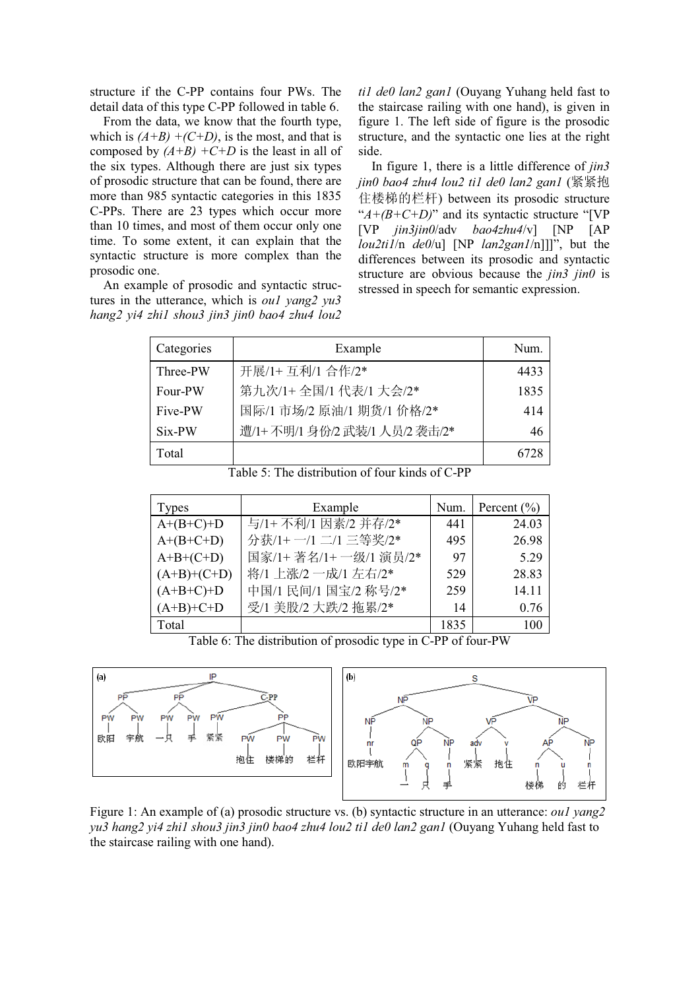structure if the C-PP contains four PWs. The detail data of this type C-PP followed in table 6.

From the data, we know that the fourth type, which is  $(A+B)$  +(C+D), is the most, and that is composed by  $(A+B)$  +C+D is the least in all of the six types. Although there are just six types of prosodic structure that can be found, there are more than 985 syntactic categories in this 1835 C-PPs. There are 23 types which occur more than 10 times, and most of them occur only one time. To some extent, it can explain that the syntactic structure is more complex than the prosodic one.

An example of prosodic and syntactic structures in the utterance, which is *ou1 yang2 yu3 hang2 yi4 zhi1 shou3 jin3 jin0 bao4 zhu4 lou2*  *ti1 de0 lan2 gan1* (Ouyang Yuhang held fast to the staircase railing with one hand), is given in figure 1. The left side of figure is the prosodic structure, and the syntactic one lies at the right side.

In figure 1, there is a little difference of *jin3 jin0 bao4 zhu4 lou2 ti1 de0 lan2 gan1* (㋻㋻ᢅ 住楼梯的栏杆) between its prosodic structure "*A+(B+C+D)*" and its syntactic structure "[VP [VP *jin3jin0*/adv *bao4zhu4*/v] [NP [AP *lou2ti1*/n *de0*/u] [NP *lan2gan1*/n]]]", but the differences between its prosodic and syntactic structure are obvious because the *jin3 jin0* is stressed in speech for semantic expression.

| Categories | Example                       | Num. |
|------------|-------------------------------|------|
| Three-PW   | 开展/1+ 互利/1 合作/2*              | 4433 |
| Four-PW    | 第九次/1+全国/1 代表/1 大会/2*         | 1835 |
| Five-PW    | 国际/1 市场/2 原油/1 期货/1 价格/2*     | 414  |
| Six-PW     | 遭/1+不明/1 身份/2 武装/1 人员/2 袭击/2* | 46   |
| Total      |                               |      |

Table 5: The distribution of four kinds of C-PP

| <b>Types</b>  | Example              | Num. | Percent $(\% )$ |
|---------------|----------------------|------|-----------------|
| $A+(B+C)+D$   | 与/1+不利/1 因素/2 并存/2*  | 441  | 24.03           |
| $A+(B+C+D)$   | 分获/1+ 一/1 二/1 三等奖/2* | 495  | 26.98           |
| $A+B+(C+D)$   | 国家/1+著名/1+一级/1 演员/2* | 97   | 5.29            |
| $(A+B)+(C+D)$ | 将/1 上涨/2 一成/1 左右/2*  | 529  | 28.83           |
| $(A+B+C)+D$   | 中国/1 民间/1 国宝/2 称号/2* | 259  | 14.11           |
| $(A+B)+C+D$   | 受/1 美股/2 大跌/2 拖累/2*  | 14   | 0.76            |
| Total         |                      | 1835 | 100             |

Table 6: The distribution of prosodic type in C-PP of four-PW



Figure 1: An example of (a) prosodic structure vs. (b) syntactic structure in an utterance: *ou1 yang2 yu3 hang2 yi4 zhi1 shou3 jin3 jin0 bao4 zhu4 lou2 ti1 de0 lan2 gan1* (Ouyang Yuhang held fast to the staircase railing with one hand).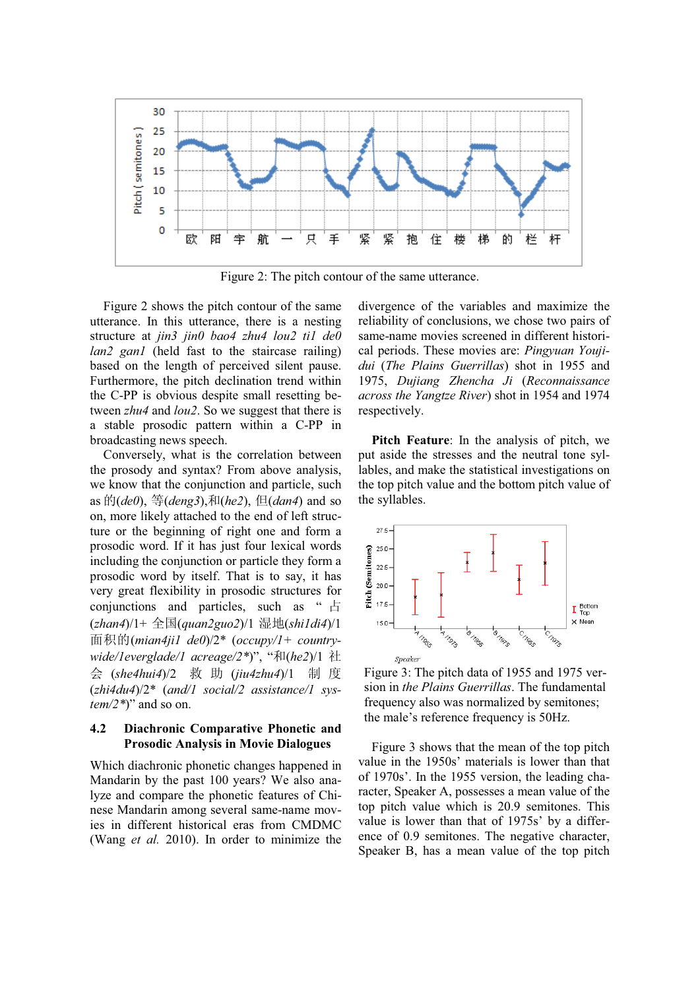

Figure 2: The pitch contour of the same utterance.

Figure 2 shows the pitch contour of the same utterance. In this utterance, there is a nesting structure at *jin3 jin0 bao4 zhu4 lou2 ti1 de0 lan2 gan1* (held fast to the staircase railing) based on the length of perceived silent pause. Furthermore, the pitch declination trend within the C-PP is obvious despite small resetting between *zhu4* and *lou2*. So we suggest that there is a stable prosodic pattern within a C-PP in broadcasting news speech.

Conversely, what is the correlation between the prosody and syntax? From above analysis, we know that the conjunction and particle, such as  $\mathcal{D}(de0)$ ,  $\mathcal{F}(deng3)$ ,  $\mathcal{F}(he2)$ ,  $\mathcal{F}(dean4)$  and so on, more likely attached to the end of left structure or the beginning of right one and form a prosodic word. If it has just four lexical words including the conjunction or particle they form a prosodic word by itself. That is to say, it has very great flexibility in prosodic structures for conjunctions and particles, such as " $\pm$ (*zhan4*)/1+ ܼ(*quan2guo2*)/1 ഄ(*shi1di4*)/1 䴶⿃ⱘ(*mian4ji1 de0*)/2\* (*occupy/1+ countrywide/1everglade/1 acreage/2\*)*", "和(he2)/1 社 会 (she4hui4)/2 救 助 (jiu4zhu4)/1 制 度 (*zhi4du4*)/2\* (*and/1 social/2 assistance/1 system/2\**)" and so on.

## **4.2 Diachronic Comparative Phonetic and Prosodic Analysis in Movie Dialogues**

Which diachronic phonetic changes happened in Mandarin by the past 100 years? We also analyze and compare the phonetic features of Chinese Mandarin among several same-name movies in different historical eras from CMDMC (Wang *et al.* 2010). In order to minimize the

divergence of the variables and maximize the reliability of conclusions, we chose two pairs of same-name movies screened in different historical periods. These movies are: *Pingyuan Youjidui* (*The Plains Guerrillas*) shot in 1955 and 1975, *Dujiang Zhencha Ji* (*Reconnaissance across the Yangtze River*) shot in 1954 and 1974 respectively.

**Pitch Feature**: In the analysis of pitch, we put aside the stresses and the neutral tone syllables, and make the statistical investigations on the top pitch value and the bottom pitch value of the syllables.



Figure 3: The pitch data of 1955 and 1975 version in *the Plains Guerrillas*. The fundamental frequency also was normalized by semitones; the male's reference frequency is 50Hz.

Figure 3 shows that the mean of the top pitch value in the 1950s' materials is lower than that of 1970s'. In the 1955 version, the leading character, Speaker A, possesses a mean value of the top pitch value which is 20.9 semitones. This value is lower than that of 1975s' by a difference of 0.9 semitones. The negative character, Speaker B, has a mean value of the top pitch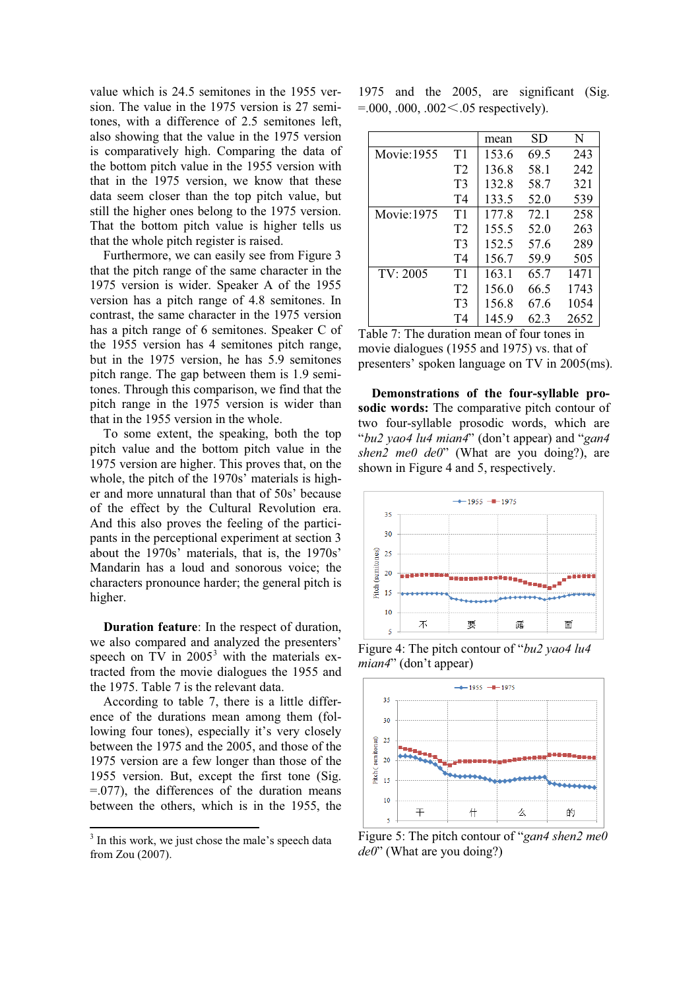value which is 24.5 semitones in the 1955 version. The value in the 1975 version is 27 semitones, with a difference of 2.5 semitones left, also showing that the value in the 1975 version is comparatively high. Comparing the data of the bottom pitch value in the 1955 version with that in the 1975 version, we know that these data seem closer than the top pitch value, but still the higher ones belong to the 1975 version. That the bottom pitch value is higher tells us that the whole pitch register is raised.

Furthermore, we can easily see from Figure 3 that the pitch range of the same character in the 1975 version is wider. Speaker A of the 1955 version has a pitch range of 4.8 semitones. In contrast, the same character in the 1975 version has a pitch range of 6 semitones. Speaker C of the 1955 version has 4 semitones pitch range, but in the 1975 version, he has 5.9 semitones pitch range. The gap between them is 1.9 semitones. Through this comparison, we find that the pitch range in the 1975 version is wider than that in the 1955 version in the whole.

To some extent, the speaking, both the top pitch value and the bottom pitch value in the 1975 version are higher. This proves that, on the whole, the pitch of the 1970s' materials is higher and more unnatural than that of 50s' because of the effect by the Cultural Revolution era. And this also proves the feeling of the participants in the perceptional experiment at section 3 about the 1970s' materials, that is, the 1970s' Mandarin has a loud and sonorous voice; the characters pronounce harder; the general pitch is higher.

**Duration feature**: In the respect of duration, we also compared and analyzed the presenters' speech on TV in  $2005^3$  with the materials extracted from the movie dialogues the 1955 and the 1975. Table 7 is the relevant data.

According to table 7, there is a little difference of the durations mean among them (following four tones), especially it's very closely between the 1975 and the 2005, and those of the 1975 version are a few longer than those of the 1955 version. But, except the first tone (Sig. =.077), the differences of the duration means between the others, which is in the 1955, the

1975 and the 2005, are significant (Sig.  $=0.000, 0.000, 0.002 \le 0.05$  respectively).

|             |                | mean  | SD   | N    |
|-------------|----------------|-------|------|------|
| Movie: 1955 | T1             | 153.6 | 69.5 | 243  |
|             | T <sub>2</sub> | 136.8 | 58.1 | 242  |
|             | T3             | 132.8 | 58.7 | 321  |
|             | T4             | 133.5 | 52.0 | 539  |
| Movie: 1975 | T1             | 177.8 | 72.1 | 258  |
|             | T <sub>2</sub> | 155.5 | 52.0 | 263  |
|             | T3             | 152.5 | 57.6 | 289  |
|             | T4             | 156.7 | 59.9 | 505  |
| TV: 2005    | T1             | 163.1 | 65.7 | 1471 |
|             | T <sub>2</sub> | 156.0 | 66.5 | 1743 |
|             | T3             | 156.8 | 67.6 | 1054 |
|             | T4             | 145.9 | 62.3 | 2652 |

Table 7: The duration mean of four tones in movie dialogues (1955 and 1975) vs. that of presenters' spoken language on TV in 2005(ms).

**Demonstrations of the four-syllable prosodic words:** The comparative pitch contour of two four-syllable prosodic words, which are "*bu2 yao4 lu4 mian4*" (don't appear) and "*gan4 shen2 me0 de0*" (What are you doing?), are shown in Figure 4 and 5, respectively.



Figure 4: The pitch contour of "*bu2 yao4 lu4 mian4*" (don't appear)



Figure 5: The pitch contour of "*gan4 shen2 me0 de0*" (What are you doing?)

 $3$  In this work, we just chose the male's speech data from Zou (2007).